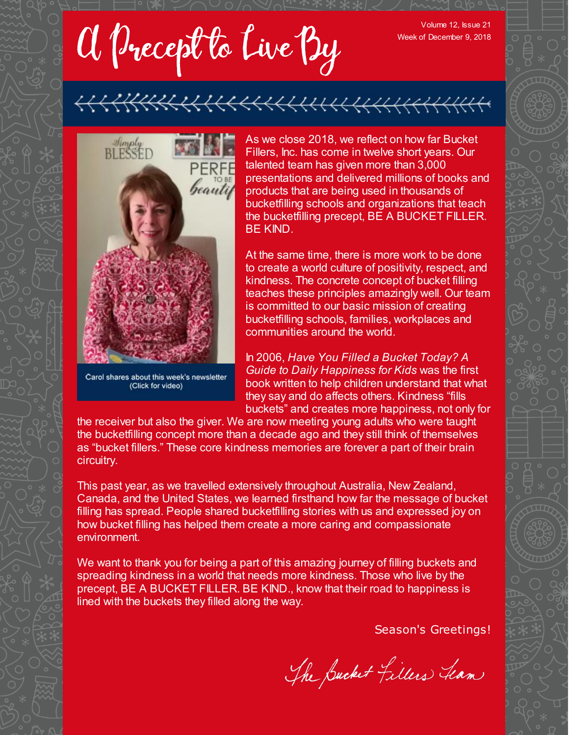a Precept to Live By

Volume 12, Issue 21 Week of December 9, 2018



Carol shares about this week's newsletter (Click for video)

As we close 2018, we reflect on how far Bucket Fillers, Inc. has come in twelve short years. Our talented team has given more than 3,000 presentations and delivered millions of books and products that are being used in thousands of bucketfilling schools and organizations that teach the bucketfilling precept, BE A BUCKET FILLER. BE KIND.

At the same time, there is more work to be done to create a world culture of positivity, respect, and kindness. The concrete concept of bucket filling teaches these principles amazingly well. Our team is committed to our basic mission of creating bucketfilling schools, families, workplaces and communities around the world.

In 2006, *Have You Filled a Bucket Today? A Guide to Daily Happiness for Kids* was the first book written to help children understand that what they say and do affects others. Kindness "fills buckets" and creates more happiness, not only for

the receiver but also the giver. We are now meeting young adults who were taught the bucketfilling concept more than a decade ago and they still think of themselves as "bucket fillers." These core kindness memories are forever a part of their brain circuitry.

This past year, as we travelled extensively throughout Australia, New Zealand, Canada, and the United States, we learned firsthand how far the message of bucket filling has spread. People shared bucketfilling stories with us and expressed joy on how bucket filling has helped them create a more caring and compassionate environment.

We want to thank you for being a part of this amazing journey of filling buckets and spreading kindness in a world that needs more kindness. Those who live by the precept, BE A BUCKET FILLER. BE KIND., know that their road to happiness is lined with the buckets they filled along the way.

Season's Greetings!

The Bucket Fillers Team